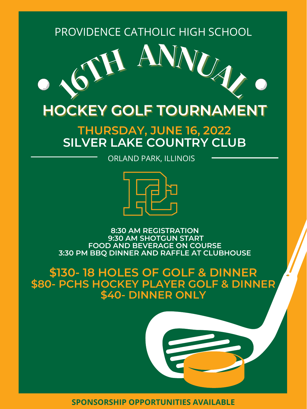





**8:30 AM REGISTRATION 9:30 AM SHOTGUN START FOOD AND BEVERAGE ON COURSE 3:30 PM BBQ DINNER AND RAFFLE AT CLUBHOUSE**



# **\$130- 18 HOLES OF GOLF & DINNER \$80- PCHS HOCKEY PLAYER GOLF & DINNER \$40- DINNER ONLY**